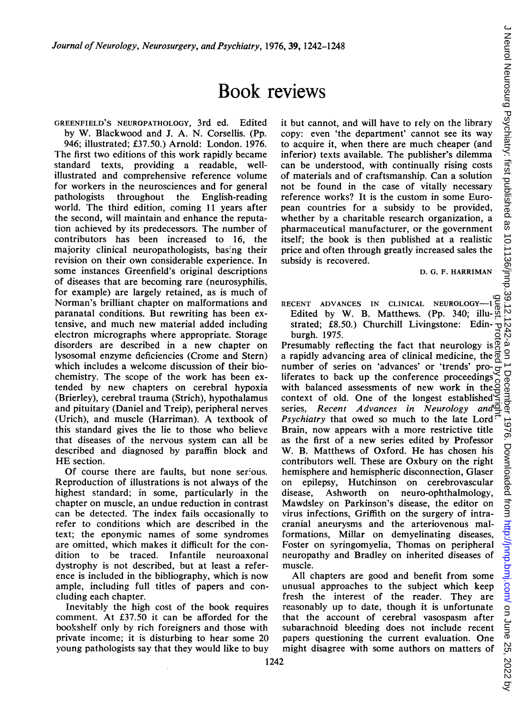## Book reviews

GREENFIELD'S NEUROPATHOLOGY, 3rd ed. Edited

by W. Blackwood and J. A. N. Corsellis. (Pp. 946; illustrated; £37.50.) Arnold: London. 1976. The first two editions of this work rapidly became standard texts, providing a readable, wellillustrated and comprehensive reference volume for workers in the neurosciences and for general pathologists throughout the English-reading world. The third edition, coming <sup>11</sup> years after the second, will maintain and enhance the reputation achieved by its predecessors. The number of contributors has been increased to 16, the majority clinical neuropathologists, basing their revision on their own considerable experience. In some instances Greenfield's original descriptions of diseases that are becoming rare (neurosyphilis, for example) are largely retained, as is much of Norman's brilliant chapter on malformations and paranatal conditions. But rewriting has been extensive, and much new material added including electron micrographs where appropriate. Storage disorders are described in a new chapter on lysosomal enzyme deficiencies (Crome and Stern) which includes a welcome discussion of their biochemistry. The scope of the work has been extended by new chapters on cerebral hypoxia (Brierley), cerebral trauma (Strich), hypothalamus and pituitary (Daniel and Treip), peripheral nerves (Urich), and muscle (Harriman). A textbook of this standard gives the lie to those who believe that diseases of the nervous system can all be described and diagnosed by paraffin block and HE section.

Of course there are faults, but none serious. Reproduction of illustrations is not always of the highest standard; in some, particularly in the chapter on muscle, an undue reduction in contrast can be detected. The index fails occasionally to refer to conditions which are described in the text; the eponymic names of some syndromes are omitted, which makes it difficult for the condition to be traced. Infantile neuroaxonal dystrophy is not described, but at least a reference is included in the bibliography, which is now ample, including full titles of papers and concluding each chapter.

Inevitably the high cost of the book requires comment. At £37.50 it can be afforded for the bookshelf only by rich foreigners and those with private income; it is disturbing to hear some 20 young pathologists say that they would like to buy

it but cannot, and will have to rely on the library copy: even 'the department' cannot see its way to acquire it, when there are much cheaper (and inferior) texts available. The publisher's dilemma can be understood, with continually rising costs of materials and of craftsmanship. Can a solution not be found in the case of vitally necessary reference works? It is the custom in some European countries for a subsidy to be provided, whether by a charitable research organization, a pharmaceutical manufacturer, or the government itself; the book is then published at a realistic price and often through greatly increased sales the subsidy is recovered.

D. G. F. HARRIMAN

RECENT ADVANCES IN CLINICAL NEUROLOGY---Edited by W. B. Matthews. (Pp. 340; illustrated; £8.50.) Churchill Livingstone: Edin- $\tau$ burgh. 1975.

Presumably reflecting the fact that neurology is a rapidly advancing area of clinical medicine, the  $\overline{\Phi}$ number of series on 'advances' or 'trends' pro- $\frac{1}{\sigma}$ liferates to back up the conference proceedings with balanced assessments of new work in the  $\frac{1}{2}$ context of old. One of the longest established  $\leq$ series, Recent Advances in Neurology and Psychiatry that owed so much to the late Lord<sup> $\bar{F}$ </sup> Brain, now appears with a more restrictive title as the first of a new series edited by Professor W. B. Matthews of Oxford. He has chosen his contributors well. These are Oxbury on the right hemisphere and hemispheric disconnection, Glaser on epilepsy, Hutchinson on cerebrovascular disease, Ashworth on neuro-ophthalmology, Mawdsley on Parkinson's disease, the editor on virus infections, Griffith on the surgery of intracranial aneurysms and the arteriovenous malformations, Millar on demyelinating diseases, Foster on syringomyelia, Thomas on peripheral neuropathy and Bradley on inherited diseases of muscle. guest. Protected by copyright.

All chapters are good and benefit from some unusual approaches to the subject which keep fresh the interest of the reader. They are reasonably up to date, though it is unfortunate that the account of cerebral vasospasm after subarachnoid bleeding does not include recent papers questioning the current evaluation. One might disagree with some authors on matters of